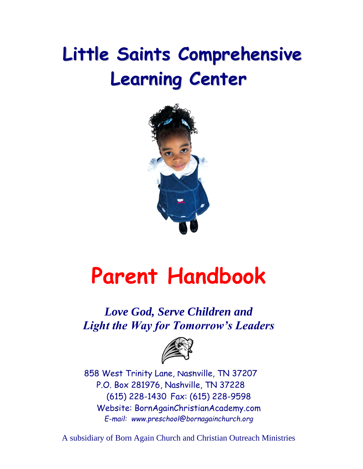## **Little Saints Comprehensive Learning Center**



# **Parent Handbook**

*Love God, Serve Children and Light the Way for Tomorrow's Leaders*



858 West Trinity Lane, Nashville, TN 37207 P.O. Box 281976, Nashville, TN 37228 (615) 228-1430 Fax: (615) 228-9598 Website: BornAgainChristianAcademy.com *E-mail: www.preschool@bornagainchurch.org*

A subsidiary of Born Again Church and Christian Outreach Ministries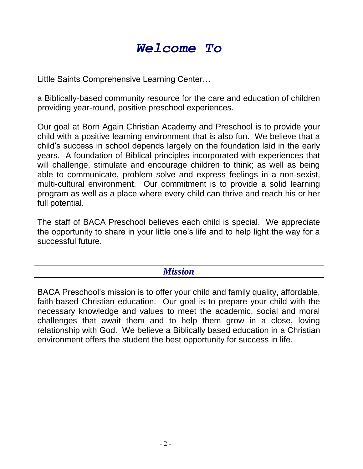### *Welcome To*

Little Saints Comprehensive Learning Center…

a Biblically-based community resource for the care and education of children providing year-round, positive preschool experiences.

Our goal at Born Again Christian Academy and Preschool is to provide your child with a positive learning environment that is also fun. We believe that a child's success in school depends largely on the foundation laid in the early years. A foundation of Biblical principles incorporated with experiences that will challenge, stimulate and encourage children to think; as well as being able to communicate, problem solve and express feelings in a non-sexist, multi-cultural environment. Our commitment is to provide a solid learning program as well as a place where every child can thrive and reach his or her full potential.

The staff of BACA Preschool believes each child is special. We appreciate the opportunity to share in your little one's life and to help light the way for a successful future.

#### *Mission*

BACA Preschool's mission is to offer your child and family quality, affordable, faith-based Christian education. Our goal is to prepare your child with the necessary knowledge and values to meet the academic, social and moral challenges that await them and to help them grow in a close, loving relationship with God. We believe a Biblically based education in a Christian environment offers the student the best opportunity for success in life.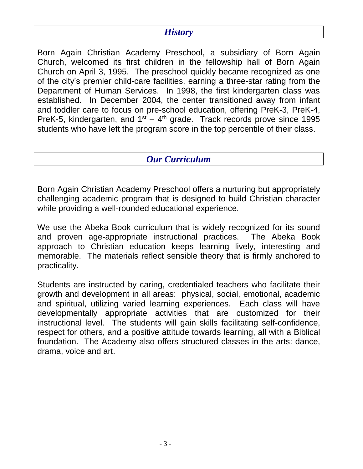#### *History*

Born Again Christian Academy Preschool, a subsidiary of Born Again Church, welcomed its first children in the fellowship hall of Born Again Church on April 3, 1995. The preschool quickly became recognized as one of the city's premier child-care facilities, earning a three-star rating from the Department of Human Services. In 1998, the first kindergarten class was established. In December 2004, the center transitioned away from infant and toddler care to focus on pre-school education, offering PreK-3, PreK-4, PreK-5, kindergarten, and  $1<sup>st</sup> - 4<sup>th</sup>$  grade. Track records prove since 1995 students who have left the program score in the top percentile of their class.

#### *Our Curriculum*

Born Again Christian Academy Preschool offers a nurturing but appropriately challenging academic program that is designed to build Christian character while providing a well-rounded educational experience.

We use the Abeka Book curriculum that is widely recognized for its sound and proven age-appropriate instructional practices. The Abeka Book approach to Christian education keeps learning lively, interesting and memorable. The materials reflect sensible theory that is firmly anchored to practicality.

Students are instructed by caring, credentialed teachers who facilitate their growth and development in all areas: physical, social, emotional, academic and spiritual, utilizing varied learning experiences. Each class will have developmentally appropriate activities that are customized for their instructional level. The students will gain skills facilitating self-confidence, respect for others, and a positive attitude towards learning, all with a Biblical foundation. The Academy also offers structured classes in the arts: dance, drama, voice and art.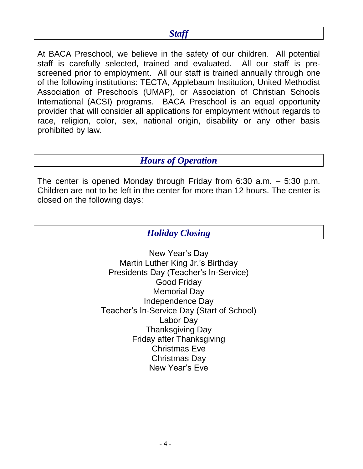#### *Staff*

At BACA Preschool, we believe in the safety of our children. All potential staff is carefully selected, trained and evaluated. All our staff is prescreened prior to employment. All our staff is trained annually through one of the following institutions: TECTA, Applebaum Institution, United Methodist Association of Preschools (UMAP), or Association of Christian Schools International (ACSI) programs. BACA Preschool is an equal opportunity provider that will consider all applications for employment without regards to race, religion, color, sex, national origin, disability or any other basis prohibited by law.

#### *Hours of Operation*

The center is opened Monday through Friday from 6:30 a.m. – 5:30 p.m. Children are not to be left in the center for more than 12 hours. The center is closed on the following days:

*Holiday Closing*

New Year's Day Martin Luther King Jr.'s Birthday Presidents Day (Teacher's In-Service) Good Friday Memorial Day Independence Day Teacher's In-Service Day (Start of School) Labor Day Thanksgiving Day Friday after Thanksgiving Christmas Eve Christmas Day New Year's Eve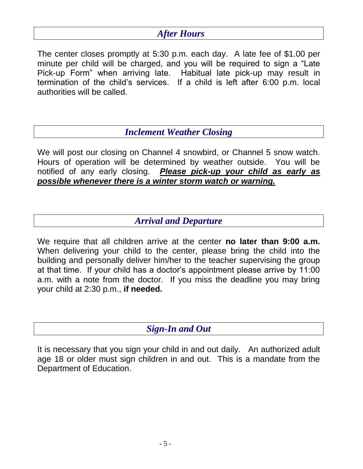#### *After Hours*

The center closes promptly at 5:30 p.m. each day. A late fee of \$1.00 per minute per child will be charged, and you will be required to sign a "Late Pick-up Form" when arriving late. Habitual late pick-up may result in termination of the child's services. If a child is left after 6:00 p.m. local authorities will be called.

*Inclement Weather Closing*

We will post our closing on Channel 4 snowbird, or Channel 5 snow watch. Hours of operation will be determined by weather outside. You will be notified of any early closing. *Please pick-up your child as early as possible whenever there is a winter storm watch or warning.*

#### *Arrival and Departure*

We require that all children arrive at the center **no later than 9:00 a.m.** When delivering your child to the center, please bring the child into the building and personally deliver him/her to the teacher supervising the group at that time. If your child has a doctor's appointment please arrive by 11:00 a.m. with a note from the doctor. If you miss the deadline you may bring your child at 2:30 p.m., **if needed.**

#### *Sign-In and Out*

It is necessary that you sign your child in and out daily. An authorized adult age 18 or older must sign children in and out. This is a mandate from the Department of Education.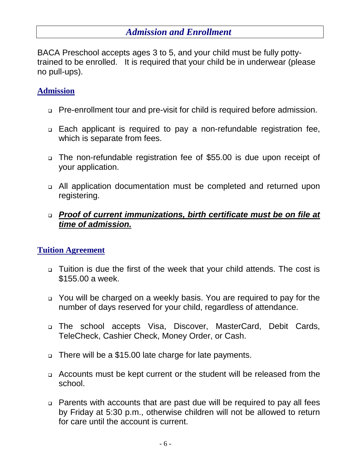#### *Admission and Enrollment*

BACA Preschool accepts ages 3 to 5, and your child must be fully pottytrained to be enrolled. It is required that your child be in underwear (please no pull-ups).

#### **Admission**

- □ Pre-enrollment tour and pre-visit for child is required before admission.
- Each applicant is required to pay a non-refundable registration fee, which is separate from fees.
- The non-refundable registration fee of \$55.00 is due upon receipt of your application.
- All application documentation must be completed and returned upon registering.
- *Proof of current immunizations, birth certificate must be on file at time of admission.*

#### **Tuition Agreement**

- Tuition is due the first of the week that your child attends. The cost is \$155.00 a week.
- You will be charged on a weekly basis. You are required to pay for the number of days reserved for your child, regardless of attendance.
- The school accepts Visa, Discover, MasterCard, Debit Cards, TeleCheck, Cashier Check, Money Order, or Cash.
- □ There will be a \$15.00 late charge for late payments.
- Accounts must be kept current or the student will be released from the school.
- Parents with accounts that are past due will be required to pay all fees by Friday at 5:30 p.m., otherwise children will not be allowed to return for care until the account is current.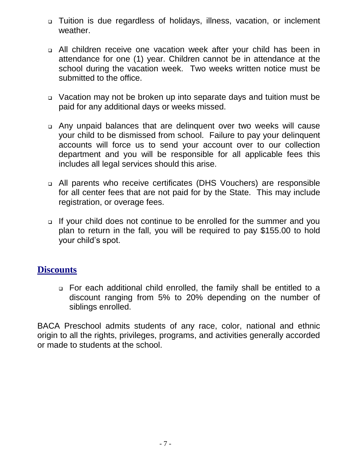- Tuition is due regardless of holidays, illness, vacation, or inclement weather.
- All children receive one vacation week after your child has been in attendance for one (1) year. Children cannot be in attendance at the school during the vacation week. Two weeks written notice must be submitted to the office.
- Vacation may not be broken up into separate days and tuition must be paid for any additional days or weeks missed.
- Any unpaid balances that are delinquent over two weeks will cause your child to be dismissed from school. Failure to pay your delinquent accounts will force us to send your account over to our collection department and you will be responsible for all applicable fees this includes all legal services should this arise.
- All parents who receive certificates (DHS Vouchers) are responsible for all center fees that are not paid for by the State. This may include registration, or overage fees.
- If your child does not continue to be enrolled for the summer and you plan to return in the fall, you will be required to pay \$155.00 to hold your child's spot.

#### **Discounts**

 For each additional child enrolled, the family shall be entitled to a discount ranging from 5% to 20% depending on the number of siblings enrolled.

BACA Preschool admits students of any race, color, national and ethnic origin to all the rights, privileges, programs, and activities generally accorded or made to students at the school.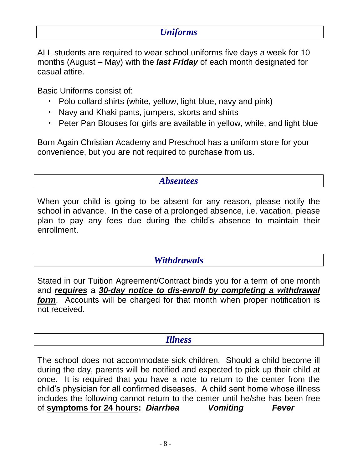#### *Uniforms*

ALL students are required to wear school uniforms five days a week for 10 months (August – May) with the *last Friday* of each month designated for casual attire.

Basic Uniforms consist of:

- Polo collard shirts (white, yellow, light blue, navy and pink)
- Navy and Khaki pants, jumpers, skorts and shirts
- Peter Pan Blouses for girls are available in yellow, while, and light blue

Born Again Christian Academy and Preschool has a uniform store for your convenience, but you are not required to purchase from us.

#### *Absentees*

When your child is going to be absent for any reason, please notify the school in advance. In the case of a prolonged absence, i.e. vacation, please plan to pay any fees due during the child's absence to maintain their enrollment.

#### *Withdrawals*

Stated in our Tuition Agreement/Contract binds you for a term of one month and *requires* a *30-day notice to dis-enroll by completing a withdrawal form*. Accounts will be charged for that month when proper notification is not received.

#### *Illness*

The school does not accommodate sick children. Should a child become ill during the day, parents will be notified and expected to pick up their child at once. It is required that you have a note to return to the center from the child's physician for all confirmed diseases. A child sent home whose illness includes the following cannot return to the center until he/she has been free of **symptoms for 24 hours:** *Diarrhea Vomiting Fever*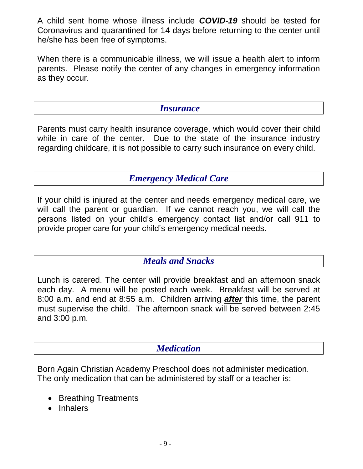A child sent home whose illness include *COVID-19* should be tested for Coronavirus and quarantined for 14 days before returning to the center until he/she has been free of symptoms.

When there is a communicable illness, we will issue a health alert to inform parents. Please notify the center of any changes in emergency information as they occur.

#### *Insurance*

Parents must carry health insurance coverage, which would cover their child while in care of the center. Due to the state of the insurance industry regarding childcare, it is not possible to carry such insurance on every child.

#### *Emergency Medical Care*

If your child is injured at the center and needs emergency medical care, we will call the parent or guardian. If we cannot reach you, we will call the persons listed on your child's emergency contact list and/or call 911 to provide proper care for your child's emergency medical needs.

#### *Meals and Snacks*

Lunch is catered. The center will provide breakfast and an afternoon snack each day. A menu will be posted each week. Breakfast will be served at 8:00 a.m. and end at 8:55 a.m. Children arriving *after* this time, the parent must supervise the child. The afternoon snack will be served between 2:45 and 3:00 p.m.

#### *Medication*

Born Again Christian Academy Preschool does not administer medication. The only medication that can be administered by staff or a teacher is:

- Breathing Treatments
- Inhalers